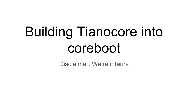# Building Tianocore into coreboot

Disclaimer: We're interns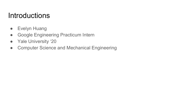## **Introductions**

- **•** Evelyn Huang
- Google Engineering Practicum Intern
- Yale University '20
- Computer Science and Mechanical Engineering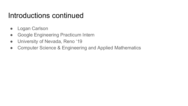## Introductions continued

- Logan Carlson
- Google Engineering Practicum Intern
- University of Nevada, Reno '19
- Computer Science & Engineering and Applied Mathematics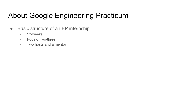# About Google Engineering Practicum

- Basic structure of an EP internship
	- 12-weeks
	- Pods of two/three
	- Two hosts and a mentor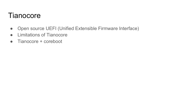#### **Tianocore**

- Open source UEFI (Unified Extensible Firmware Interface)
- Limitations of Tianocore
- Tianocore + coreboot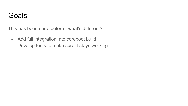### Goals

This has been done before - what's different?

- Add full integration into coreboot build
- Develop tests to make sure it stays working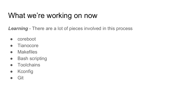# What we're working on now

*Learning* - There are a lot of pieces involved in this process

- coreboot
- Tianocore
- Makefiles
- Bash scripting
- Toolchains
- Kconfig
- Git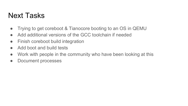## Next Tasks

- Trying to get coreboot & Tianocore booting to an OS in QEMU
- Add additional versions of the GCC toolchain if needed
- Finish coreboot build integration
- Add boot and build tests
- Work with people in the community who have been looking at this
- Document processes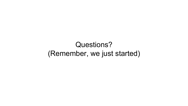# Questions? (Remember, we just started)